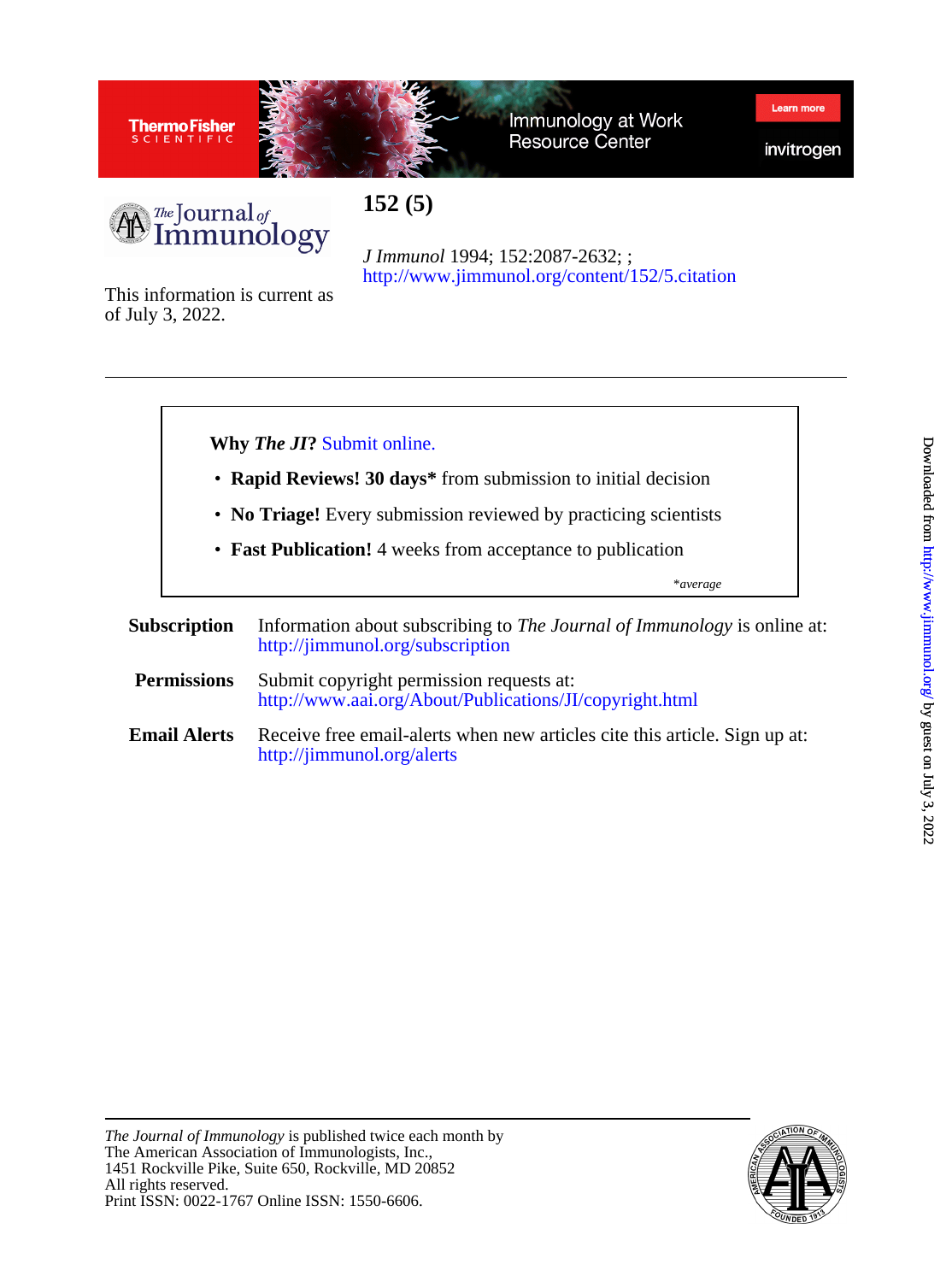

Immunology at Work **Resource Center** 

invitrogen

Learn mo



**152 (5)**

<http://www.jimmunol.org/content/152/5.citation> *J Immunol* 1994; 152:2087-2632; ;

of July 3, 2022. This information is current as



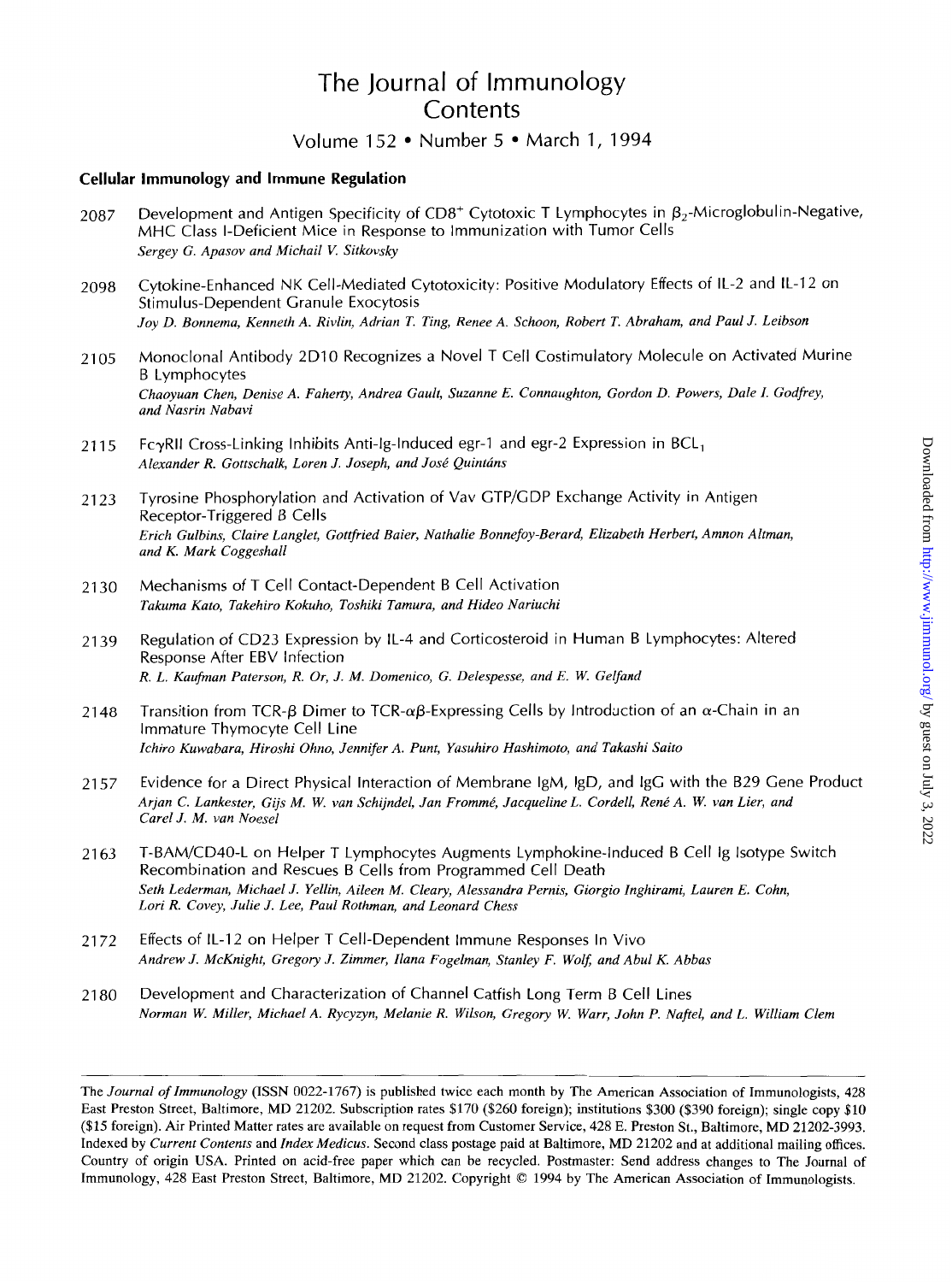# The Journal of Immunology **Contents**

# Volume 152 • Number 5 • March 1, 1994

### **Cellular Immunology and Immune Regulation**

- 2087 Development and Antigen Specificity of  $CD8^+$  Cytotoxic T Lymphocytes in  $\beta_2$ -Microglobulin-Negative, MHC Class I-Deficient Mice in Response to immunization with Tumor Cells *Sergey G. Apasov and Michail V. Sitkovsky*
- 2098 Cytokine-Enhanced NK Cell-Mediated Cytotoxicity: Positive Modulatory Effects of IL-2 and IL-12 on Stimulus-Dependent Granule Exocytosis *Joy D. Bonnema, Kenneth A. Rivlin, Adrian T. Ting, Renee A. Schoon, Robert T. Abraham, and Paul J. Leibson*
- 21 05 Monoclonal Antibody 2D10 Recognizes a Novel T Cell Costimulatory Molecule on Activated Murine B Lymphocytes *Chaoyuan Chen, Denise A. Faherv, Andrea Gault, Suzanne E. Connaughton, Gordon D. Powers, Dale I. Godfiey, and Nasrin Nubavi*
- 2115 Fc $\gamma$ RII Cross-Linking Inhibits Anti-lg-Induced egr-1 and egr-2 Expression in BCL<sub>1</sub> *Alexander R. Gottschalk, Loren J. Joseph, and Jost Quintans*
- 21 23 Tyrosine Phosphorylation and Activation of Vav GTP/GDP Exchange Activity in Antigen Receptor-Triggered B Cells *Erich Gulbins, Claire Langlet, Gottfried Baier, Nathalie Bonnefoy-Berard, Elizabeth Herbert, Amnon Altman, and K. Mark Coggeshall*
- 21 30 Mechanisms of T Cell Contact-Dependent B Cell Activation *Takuma Kato, Takehiro Kokuho, Toshiki Tamura, and Hide0 Nariuchi*
- 21 39 Regulation of CD23 Expression by IL-4 and Corticosteroid in Human B Lymphocytes: Altered Response After EBV Infection *R. L. Kaufman Paterson, R. Or, J. M. Domenico, G. Delespesse, and E. W. Gelfand*
- 2148 Transition from TCR- $\beta$  Dimer to TCR- $\alpha\beta$ -Expressing Cells by Introduction of an  $\alpha$ -Chain in an Immature Thymocyte Cell Line *Ichiro Kuwabara, Hiroshi Ohno, Jennifer A. Punt, Yusuhiro Hashimoto, and Takashi Saito*
- 21 57 Evidence for a Direct Physical Interaction *of* Membrane IgM, IgD, and IgG with the 829 Gene Product *Arjun C. Lankester, Gijs M. W. van Schijndel, Jan Frommt, Jacqueline L. Cordell, Rent A. W. van Lier, and Curel J. M. vun Noesel*
- 2163 T-BAM/CD40-L on Helper T Lymphocytes Augments Lymphokine-Induced B Cell ig lsotype Switch Recombination and Rescues B Cells from Programmed Cell Death *Seth Lederman, Michael J. Yellin, Aileen M. Cleary, Alessandra Pernis, Giorgio Inghirami, Lauren E. Cohn, Lori R. Covey, Julie J. Lee, Paul Rothman, and Leonard Chess*
- 21 72 Effects of IL-12 on Helper T Cell-Dependent Immune Responses In Vivo *Andrew J. McKnight, Gregory J. Zimmer, Ilana Fogelman, Stanley F. Wolf; and Abul K. Abbas*
- 21 80 Development and Characterization of Channel Catfish Long Term B Cell Lines *Norman W. Miller, Michael A. Rycyzyn, Melanie R. Wilson, Gregory W. Warr, John P. Naffel, and L. William Clem*

The *Journal of Immunology* **(ISSN** 0022-1767) is published twice each month by The American Association of Immunologists, 428 East Preston Street, Baltimore, MD 21202. Subscription rates \$170 (\$260 foreign); institutions \$300 (\$390 foreign); single copy \$10 *(\$15* foreign). **Air** Printed Matter rates are available on request from Customer Service, 428 E. Preston St., Baltimore, MD 21202-3993. Indexed by *Current Contents* and *Index Medicus.* Second class postage paid at Baltimore, MD 21202 and at additional mailing offices. Country of origin USA. Printed on acid-free paper which can be recycled. Postmaster: Send address changes to The Journal **of**  Immunology, 428 East Preston Street, Baltimore, MD 21202. Copyright *0* 1994 by The American Association of Immunologists.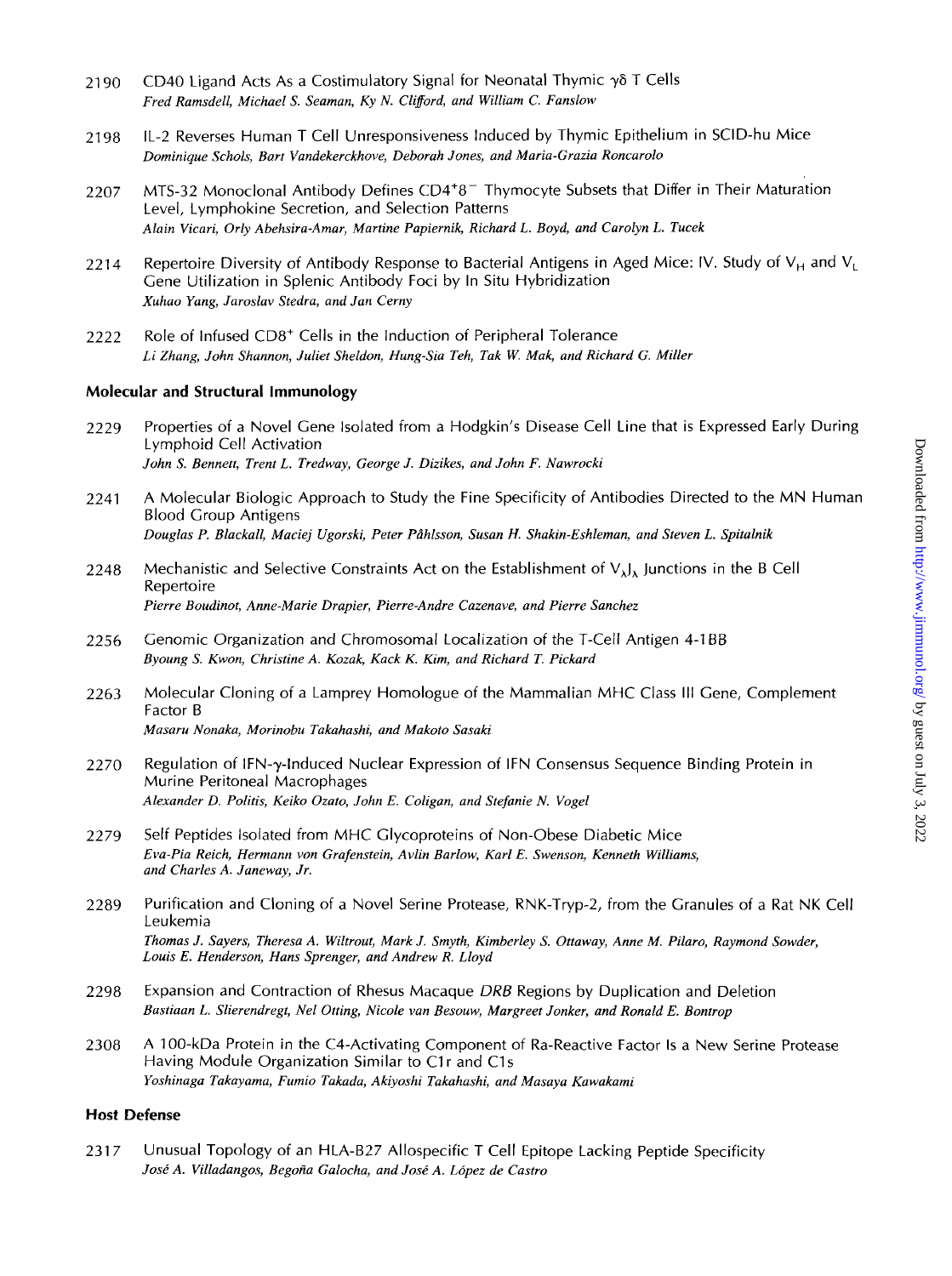- 21 90 CD40 Ligand Acts As a Costimulatory Signal for Neonatal Thymic *y6* T Cells *Fred Ramsdell, Michael S. Seaman, Ky N. Clifford, and William C. Fanslow*
- 2198 IL-2 Reverses Human T Cell Unresponsiveness Induced by Thymic Epithelium in SCID-hu Mice *Dominique Schols, Bart Vandekerckhove, Deborah Jones, and Maria-Grazia Roncarolo*
- 2207 MTS-32 Monoclonal Antibody Defines CD4<sup>+8-</sup> Thymocyte Subsets that Differ in Their Maturation Level, Lymphokine Secretion, and Selection Patterns *Alain Vicari, Orly Abehsira-Amar, Martine Papiernik, Richard L. Boyd, and Carolyn L. Tucek*
- 2214 Repertoire Diversity of Antibody Response to Bacterial Antigens in Aged Mice: IV. Study of  $V_H$  and  $V_I$ Gene Utilization in Splenic Antibody Foci by In Situ Hybridization *Xuhao Yang, Jaroslav Stedra, and Jan Cerny*
- 2222 Role of Infused CD8<sup>+</sup> Cells in the Induction of Peripheral Tolerance *Li Zhang, John Shannon, Juliet Sheldon, Hung-Sia Teh, Tak W. Mak, and Richard G. Miller*

### **Molecular and Structural Immunology**

- 2229 Properties of a Novel Gene isolated from a Hodgkin's Disease Cell Line that is Expressed Early During Lymphoid Cell Activation *John* **S.** *Bennett, Trent L. Tredway, George J. Dizikes, and John F. Nawrocki*
- 2241 A Molecular Biologic Approach to Study the Fine Specificity of Antibodies Directed to the MN Human Blood Group Antigens *Douglas P. Blackall, Maciej Ugorski, Peter Pihlsson, Susan H. Shakin-Eshleman, and Steven L. Spitalnik*
- 2248 Mechanistic and Selective Constraints Act on the Establishment of  $V_{\lambda}$ , Junctions in the B Cell Repertoire *Pierre Boudinot, Anne-Marie Drapier, Pierre-Andre Cazenave, and Pierre Sanchez*
- 2256 Genomic Organization and Chromosomal Localization of the T-cell Antigen 4-1 BB *Byoung* **S.** *Kwon, Christine A. Kozak, Kack K. Kim, and Richard T. Pickard*
- 2263 Molecular Cloning of a Lamprey Homologue of the Mammalian MHC Class Ill Gene, Complement Factor B *Masaru Nonaka, Morinobu Takahashi, and Makoto Sasaki*
- 2270 Regulation of IFN-y-Induced Nuclear Expression of IFN Consensus Sequence Binding Protein in Murine Peritoneal Macrophages *Alexander D. Politis, Keiko Ozato, John E. Coligan, and Stefanie N. Vogel*
- 2279 Self Peptides Isolated from MHC Glycoproteins of Non-Obese Diabetic Mice *Eva-Pia Reich, Hermann von Grafenstein, Avlin Barlow, Karl E. Swenson, Kenneth Williams, and Charles A. Janeway, Jr.*
- 2289 Purification and Cloning of a Novel Serine Protease, RNK-Tryp-2, from the Granules of a Rat NK Cell Leukemia *Thomas J. Sayers, Theresa A. Wiltrout, Mark J. Smyth, Kimberley S. Ottaway, Anne M. Pilaro, Raymond Sowder, Louis E. Henderson, Hans Sprenger, and Andrew R. Lloyd*
- 2298 Expansion and Contraction of Rhesus Macaque *DRB* Regions by Duplication and Deletion *Bastiaan L. Slierendregt, Ne1 Otting, Nicole van Besouw, Margreet Jonker, and Ronald E. Bontrop*
- 2308 A 100-kDa Protein in the C4-Activating Component of Ra-Reactive Factor Is a New Serine Protease Having Module Organization Similar to C1r and C1s *Yoshinaga Takayama, Fumio Takada, Akiyoshi Takahashi, and Masaya Kawakami*

## *Host* **Defense**

2317 Unusual Topology of an HLA-B27 Allospecific T Cell Epitope Lacking Peptide Specificity *Jost A. Villadangos, Begoria Galocha, and Jost A. Lopez de Castro*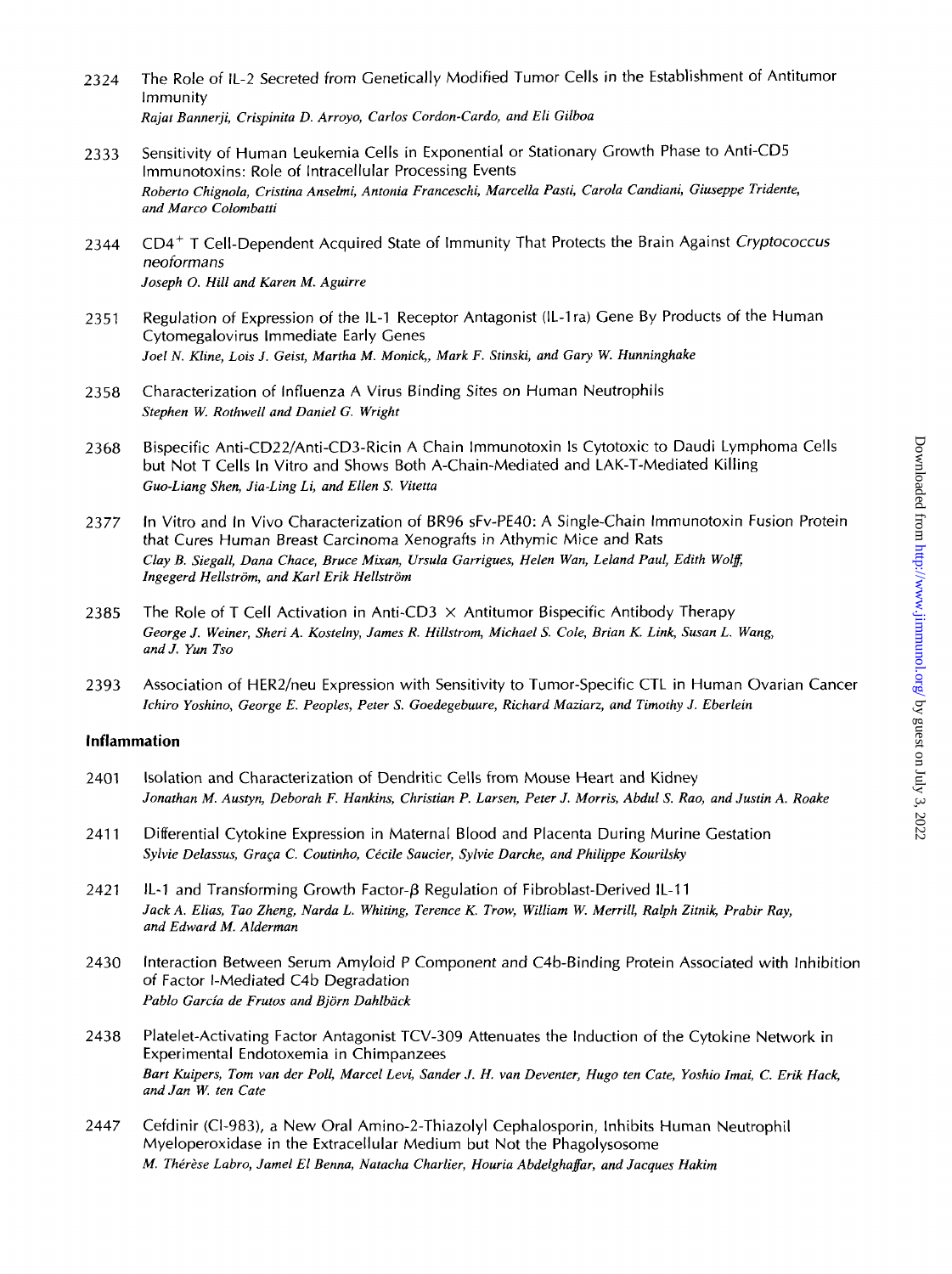- 2324 The Role of IL-2 Secreted from Genetically Modified Tumor Cells in the Establishment of Antitumor Immunity *Rajat Bannerji, Crispinita D. Arroyo, Carlos Cordon-Cardo, and Eli Gilboa*
- 2333 Sensitivity of Human Leukemia Cells in Exponential or Stationary Growth Phase to Anti-CD5 Immunotoxins: Role of Intracellular Processing Events *Roberto Chignola, Cristina Anselmi, Antonia Franceschi, Marcella Pasti, Carola Candiani, Giuseppe Tridente, and Marco Colombatti*
- 2 344 CD4+ T Cell-Dependent Acquired State of Immunity That Protects the Brain Against *Cryptococcus*  neoformans *Joseph 0. Hill and Karen M. Aguirre*
- 2351 Regulation of Expression of the IL-1 Receptor Antagonist (IL-1 ra) Gene By Products of the Human Cytomegalovirus Immediate Early Genes *Joel N. Kline, Lois J. Geist, Martha M. Monick,, Mark* **F.** *Stinski, and Gary* **W.** *Hunninghake*
- 2358 Characterization of Influenza A Virus Binding Sites on Human Neutrophils *Stephen W. Rothwell and Daniel G. Wright*
- 2368 Bispecific Anti-CD22/Anti-CD3-Ricin A Chain lmmunotoxin Is Cytotoxic to Daudi Lymphoma Cells but Not T Cells In Vitro and Shows Both A-Chain-Mediated and LAK-T-Mediated Killing *Guo-Liang Shen, Jia-Ling Li, and Ellen S. Vitetta*
- 2377 In Vitro and In Vivo Characterization of BR96 sFv-PE40: A Single-Chain lmmunotoxin Fusion Protein that Cures Human Breast Carcinoma Xenografts in Athymic Mice and Rats Clay B. Siegall, Dana Chace, Bruce Mixan, Ursula Garrigues, Helen Wan, Leland Paul, Edith Wolff, *Ingegerd Hellstrom, and Karl Erik Hellstrom*
- 2385 The Role of T Cell Activation in Anti-CD3  $\times$  Antitumor Bispecific Antibody Therapy *George J. Weiner, Sheri A. Kostelny, James R. Hillstram, Michael S. Cole, Brian K. Link, Susan L. Wang, and J. Yun Tso*
- 2393 Association of HER2/neu Expression with Sensitivity to Tumor-Specific CTL in Human Ovarian Cancer *Ichiro Yoshino, George E. Peoples, Peter S. Goedegebuure, Richard Maziarz, and Timothy J. Eberlein*

#### **Inflammation**

- 2401 Isolation and Characterization of Dendritic Cells from Mouse Heart and Kidney *Jonathan M. Austyn, Deborah F. Hankins, Christian P. Larsen, Peter J. Morris, Abdul S. Rao, and Justin A. Roake*
- 2411 Differential Cytokine Expression in Maternal Blood and Placenta During Murine Gestation *Sylvie Delassus, GraGa C. Coutinho, Ckile Saucier, Sylvie Darche, and PhiIippe Kourilsky*
- 2421 IL-I and Transforming Growth Factor+ Regulation of Fibroblast-Derived IL-I 1 *Jack A. Elias, Tao Zheng, Narda L. Whiting, Terence K. Trow, William W. Merrill, Ralph Zitnik, Prabir Ray, and Edward M. Alderman*
- 2430 Interaction Between Serum Amyloid P Component and C4b-Binding Protein Associated with Inhibition of Factor I-Mediated C4b Degradation *Pablo Garcia de Frutos and Bjorn Dahlback*
- 2438 Platelet-Activating Factor Antagonist TCV-309 Attenuates the Induction of the Cytokine Network in Experimental Endotoxemia in Chimpanzees *Bart Kuipers, Tom van der Poll, Marcel Levi, Sander J. H. van Deventer, Hugo ten Cate, Yoshio Imai, C. Erik Hack, and Jan W. ten Cate*
- 2447 Cefdinir (Cl-983), a New Oral Amino-2-Thiazolyl Cephalosporin, Inhibits Human Neutrophil Myeloperoxidase in the Extracellular Medium but Not the Phagolysosome *M. Thérèse Labro, Jamel El Benna, Natacha Charlier, Houria Abdelghaffar, and Jacques Hakim*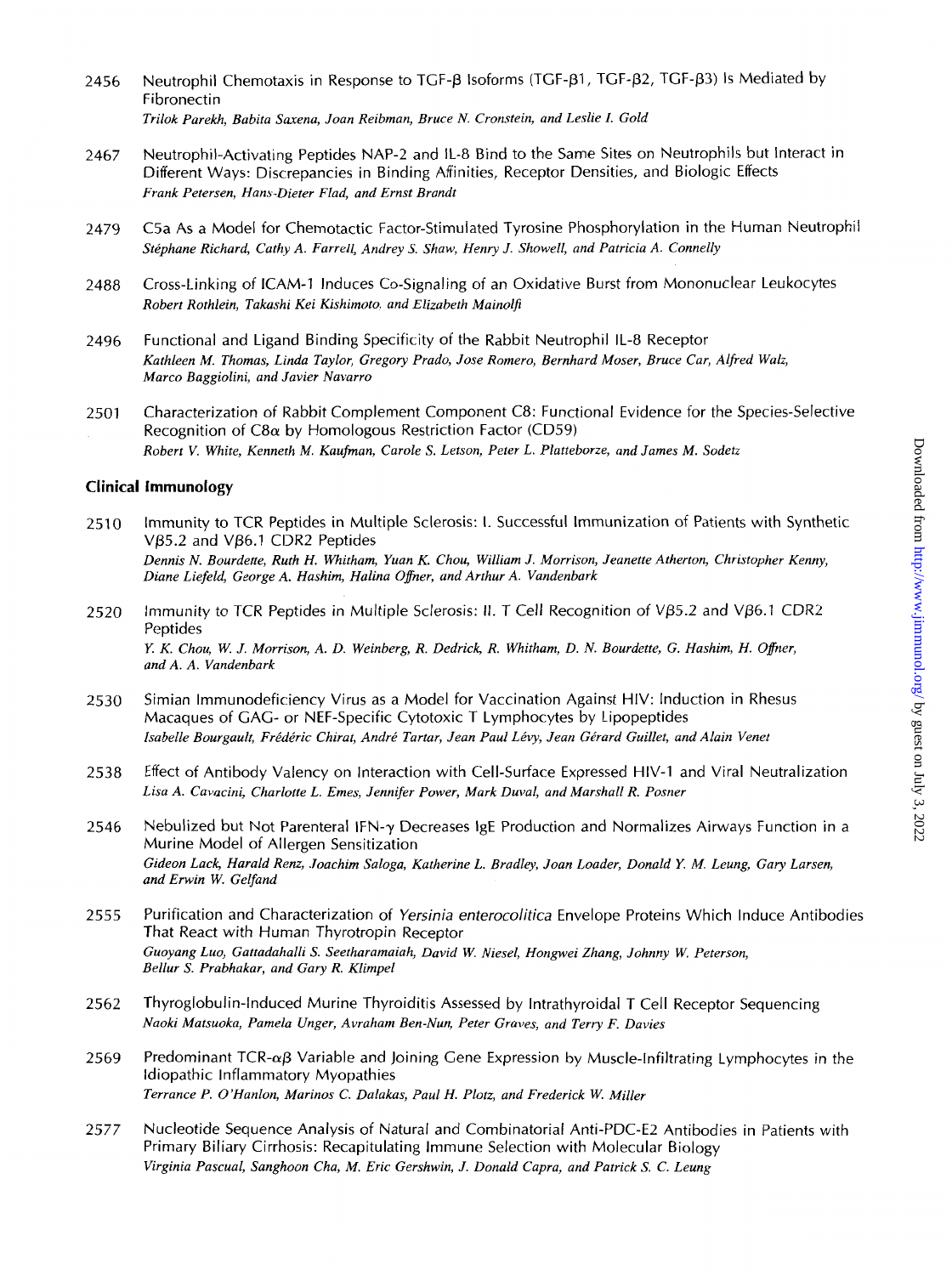- 2456 Neutrophil Chemotaxis in Response to TGF-B Isoforms (TGF-B1, TGF-B2, TGF-B3) Is Mediated by Fibronectin *Trilok Parekh, Babita Saxena, Joan Reibman, Bruce N. Cronstein, and Leslie I. Gold*
- 2467 Neutrophil-Activating Peptides NAP-2 and IL-8 Bind to the Same Sites on Neutrophils but Interact in Different Ways: Discrepancies in Binding Affinities, Receptor Densities, and Biologic Effects *Frank Petersen, Hans-Dieter Flad, and Ernst Brandt*
- 2479 C5a As a Model for Chemotactic Factor-Stimulated Tyrosine Phosphorylation in the Human Neutrophil *Stephane Richard, Cathy A. Farrell, Andrey S. Shaw, Henry J. Showell, and Patricia A. Connelly*
- 2488 Cross-Linking of ICAM-1 Induces Co-Signaling of an Oxidative Burst from Mononuclear Leukocytes *Robert Rothlein, Takashi Kei Kishimoto, and Elizabeth Mainolfi*
- 2496 Functional and Ligand Binding Specificity of the Rabbit Neutrophil IL-8 Receptor *Kathleen M. Thomas, Linda Taylor, Gregory Prado, Jose Romero, Bernhurd Moser, Bruce Car, Alfred Walz, Marco Baggiolini, and Javier Navarro*
- 2501 Characterization of Rabbit Complement Component C8: Functional Evidence for the Species-Selective Recognition of  $C8\alpha$  by Homologous Restriction Factor (CD59) *Robert V. White, Kenneth M. Kaufman, Carole S. Letson, Peter L. Platteborze, and James M. Sodetz*

#### **Clinical Immunology**

- 2510 Immunity to TCR Peptides in Multiple Sclerosis: I. Successful Immunization of Patients with Synthetic V<sub>B5.2</sub> and V<sub>B6.1</sub> CDR<sub>2</sub> Peptides *Dennis N. Bourdette, Ruth H. Whitham, Yuan K. Chou, William J. Morrison, Jeanette Atherton, Christopher Kenny, Diane Liefeld, George A, Hashim, Halina Ofier, and Arthur A. Vandenbark*
- 2520 Immunity to TCR Peptides in Multiple Sclerosis: 11. T Cell Recognition *of* Vp5.2 and Vp6.1 CDR2 Peptides *Y. K. Chou, W. J. Morrison, A. D. Weinberg, R. Dedrick, R. Whitham, D. N. Bourdette, G. Hashim, H. Ofier, and A. A. Vandenbark*
- 2530 Simian Immunodeficiency Virus as a Model for Vaccination Against HIV: Induction in Rhesus Macaques of GAG- or NEF-Specific Cytotoxic T Lymphocytes by Lipopeptides *lsubelle Bourgault, Fredkric Chirat, Andre Tartar, Jean Paul Levy, Jean Gerard Guillet, and Alain Venet*
- 2538 Effect of Antibody Valency on Interaction with Cell-Surface Expressed HIV-1 and Viral Neutralization *Lisa A. Cavacini, Charlotte L. Ernes, Jennifer Power, Mark Duval, and Marshall R. Posner*
- 2546 Nebulized but Not Parenteral IFN-y Decreases IgE Production and Normalizes Airways Function in a Murine Model of Allergen Sensitization *Gideon Lack, Harald Renz, Joachim Saloga, Katherine L. Brudley, Joan Loader, Donald Y. M. Leung, Gary Larsen, and Erwin W. Gelfnnd*
- 2555 Purification and Characterization of *Yersinia enferocolifica* Envelope Proteins Which Induce Antibodies That React with Human Thyrotropin Receptor *Guoyang Luo, Gattadahalli S. Seetharamaiah, David W. Niesel, Hongwei Zhang, Johnny W. Peterson, Bellur S. Prabhakar, and Gary R. Klimpel*
- 2562 Thyroglobulin-Induced Murine Thyroiditis Assessed by lntrathyroidal T Cell Receptor Sequencing *Naoki Matsuoka, Pamela Unger, Avraham Ben-Nun, Peter Graves, and Terry F. Davies*
- 2569 Predominant TCR- $\alpha$ B Variable and Joining Gene Expression by Muscle-Infiltrating Lymphocytes in the Idiopathic Inflammatory Myopathies *Terrance P. O'Hanlon, Marinos C. Dalakas, Paul H. Plotz, and Frederick W. Miller*
- 2577 Nucleotide Sequence Analysis *of* Natural and Combinatorial Anti-PDC-E2 Antibodies in Patients with Primary Biliary Cirrhosis: Recapitulating Immune Selection with Molecular Biology *Virginia Pascual, Sanghoon Cha, M. Eric Gershwin, J. Donald Capra, and Patrick S. C. Leung*